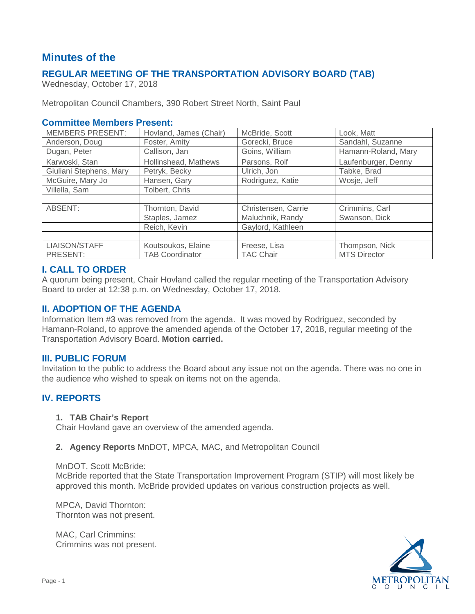# **Minutes of the**

# **REGULAR MEETING OF THE TRANSPORTATION ADVISORY BOARD (TAB)**

Wednesday, October 17, 2018

Metropolitan Council Chambers, 390 Robert Street North, Saint Paul

#### **Committee Members Present:**

| <b>MEMBERS PRESENT:</b> | Hovland, James (Chair) | McBride, Scott      | Look, Matt          |
|-------------------------|------------------------|---------------------|---------------------|
| Anderson, Doug          | Foster, Amity          | Gorecki, Bruce      | Sandahl, Suzanne    |
| Dugan, Peter            | Callison, Jan          | Goins, William      | Hamann-Roland, Mary |
| Karwoski, Stan          | Hollinshead, Mathews   | Parsons, Rolf       | Laufenburger, Denny |
| Giuliani Stephens, Mary | Petryk, Becky          | Ulrich, Jon         | Tabke, Brad         |
| McGuire, Mary Jo        | Hansen, Gary           | Rodriguez, Katie    | Wosje, Jeff         |
| Villella, Sam           | Tolbert, Chris         |                     |                     |
|                         |                        |                     |                     |
| ABSENT:                 | Thornton, David        | Christensen, Carrie | Crimmins, Carl      |
|                         | Staples, Jamez         | Maluchnik, Randy    | Swanson, Dick       |
|                         | Reich, Kevin           | Gaylord, Kathleen   |                     |
|                         |                        |                     |                     |
| <b>LIAISON/STAFF</b>    | Koutsoukos, Elaine     | Freese, Lisa        | Thompson, Nick      |
| PRESENT:                | <b>TAB Coordinator</b> | <b>TAC Chair</b>    | <b>MTS Director</b> |

# **I. CALL TO ORDER**

A quorum being present, Chair Hovland called the regular meeting of the Transportation Advisory Board to order at 12:38 p.m. on Wednesday, October 17, 2018.

### **II. ADOPTION OF THE AGENDA**

Information Item #3 was removed from the agenda. It was moved by Rodriguez, seconded by Hamann-Roland, to approve the amended agenda of the October 17, 2018, regular meeting of the Transportation Advisory Board. **Motion carried.**

#### **III. PUBLIC FORUM**

Invitation to the public to address the Board about any issue not on the agenda. There was no one in the audience who wished to speak on items not on the agenda.

# **IV. REPORTS**

#### **1. TAB Chair's Report**

Chair Hovland gave an overview of the amended agenda.

#### **2. Agency Reports** MnDOT, MPCA, MAC, and Metropolitan Council

#### MnDOT, Scott McBride:

McBride reported that the State Transportation Improvement Program (STIP) will most likely be approved this month. McBride provided updates on various construction projects as well.

MPCA, David Thornton: Thornton was not present.

MAC, Carl Crimmins: Crimmins was not present.

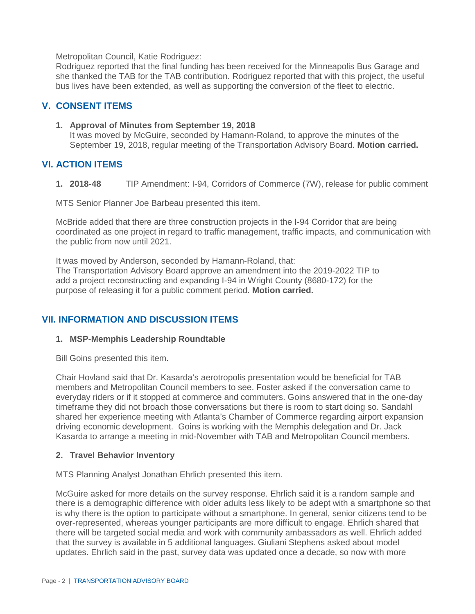Metropolitan Council, Katie Rodriguez:

Rodriguez reported that the final funding has been received for the Minneapolis Bus Garage and she thanked the TAB for the TAB contribution. Rodriguez reported that with this project, the useful bus lives have been extended, as well as supporting the conversion of the fleet to electric.

# **V. CONSENT ITEMS**

**1. Approval of Minutes from September 19, 2018** It was moved by McGuire, seconded by Hamann-Roland, to approve the minutes of the September 19, 2018, regular meeting of the Transportation Advisory Board. **Motion carried.**

# **VI. ACTION ITEMS**

**1. 2018-48** TIP Amendment: I-94, Corridors of Commerce (7W), release for public comment

MTS Senior Planner Joe Barbeau presented this item.

McBride added that there are three construction projects in the I-94 Corridor that are being coordinated as one project in regard to traffic management, traffic impacts, and communication with the public from now until 2021.

It was moved by Anderson, seconded by Hamann-Roland, that: The Transportation Advisory Board approve an amendment into the 2019-2022 TIP to add a project reconstructing and expanding I-94 in Wright County (8680-172) for the purpose of releasing it for a public comment period. **Motion carried.**

#### **VII. INFORMATION AND DISCUSSION ITEMS**

#### **1. MSP-Memphis Leadership Roundtable**

Bill Goins presented this item.

Chair Hovland said that Dr. Kasarda's aerotropolis presentation would be beneficial for TAB members and Metropolitan Council members to see. Foster asked if the conversation came to everyday riders or if it stopped at commerce and commuters. Goins answered that in the one-day timeframe they did not broach those conversations but there is room to start doing so. Sandahl shared her experience meeting with Atlanta's Chamber of Commerce regarding airport expansion driving economic development. Goins is working with the Memphis delegation and Dr. Jack Kasarda to arrange a meeting in mid-November with TAB and Metropolitan Council members.

#### **2. Travel Behavior Inventory**

MTS Planning Analyst Jonathan Ehrlich presented this item.

McGuire asked for more details on the survey response. Ehrlich said it is a random sample and there is a demographic difference with older adults less likely to be adept with a smartphone so that is why there is the option to participate without a smartphone. In general, senior citizens tend to be over-represented, whereas younger participants are more difficult to engage. Ehrlich shared that there will be targeted social media and work with community ambassadors as well. Ehrlich added that the survey is available in 5 additional languages. Giuliani Stephens asked about model updates. Ehrlich said in the past, survey data was updated once a decade, so now with more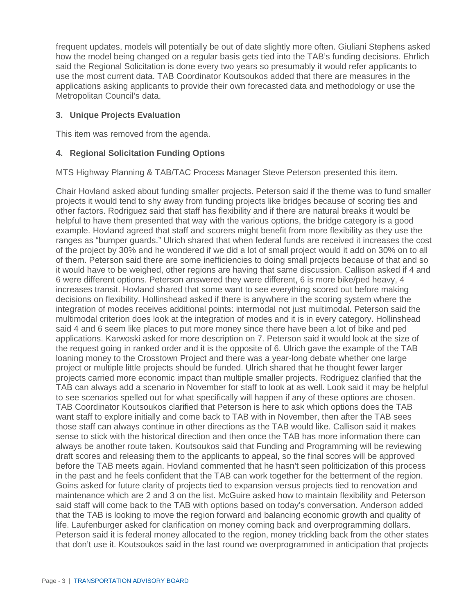frequent updates, models will potentially be out of date slightly more often. Giuliani Stephens asked how the model being changed on a regular basis gets tied into the TAB's funding decisions. Ehrlich said the Regional Solicitation is done every two years so presumably it would refer applicants to use the most current data. TAB Coordinator Koutsoukos added that there are measures in the applications asking applicants to provide their own forecasted data and methodology or use the Metropolitan Council's data.

### **3. Unique Projects Evaluation**

This item was removed from the agenda.

### **4. Regional Solicitation Funding Options**

MTS Highway Planning & TAB/TAC Process Manager Steve Peterson presented this item.

Chair Hovland asked about funding smaller projects. Peterson said if the theme was to fund smaller projects it would tend to shy away from funding projects like bridges because of scoring ties and other factors. Rodriguez said that staff has flexibility and if there are natural breaks it would be helpful to have them presented that way with the various options, the bridge category is a good example. Hovland agreed that staff and scorers might benefit from more flexibility as they use the ranges as "bumper guards." Ulrich shared that when federal funds are received it increases the cost of the project by 30% and he wondered if we did a lot of small project would it add on 30% on to all of them. Peterson said there are some inefficiencies to doing small projects because of that and so it would have to be weighed, other regions are having that same discussion. Callison asked if 4 and 6 were different options. Peterson answered they were different, 6 is more bike/ped heavy, 4 increases transit. Hovland shared that some want to see everything scored out before making decisions on flexibility. Hollinshead asked if there is anywhere in the scoring system where the integration of modes receives additional points: intermodal not just multimodal. Peterson said the multimodal criterion does look at the integration of modes and it is in every category. Hollinshead said 4 and 6 seem like places to put more money since there have been a lot of bike and ped applications. Karwoski asked for more description on 7. Peterson said it would look at the size of the request going in ranked order and it is the opposite of 6. Ulrich gave the example of the TAB loaning money to the Crosstown Project and there was a year-long debate whether one large project or multiple little projects should be funded. Ulrich shared that he thought fewer larger projects carried more economic impact than multiple smaller projects. Rodriguez clarified that the TAB can always add a scenario in November for staff to look at as well. Look said it may be helpful to see scenarios spelled out for what specifically will happen if any of these options are chosen. TAB Coordinator Koutsoukos clarified that Peterson is here to ask which options does the TAB want staff to explore initially and come back to TAB with in November, then after the TAB sees those staff can always continue in other directions as the TAB would like. Callison said it makes sense to stick with the historical direction and then once the TAB has more information there can always be another route taken. Koutsoukos said that Funding and Programming will be reviewing draft scores and releasing them to the applicants to appeal, so the final scores will be approved before the TAB meets again. Hovland commented that he hasn't seen politicization of this process in the past and he feels confident that the TAB can work together for the betterment of the region. Goins asked for future clarity of projects tied to expansion versus projects tied to renovation and maintenance which are 2 and 3 on the list. McGuire asked how to maintain flexibility and Peterson said staff will come back to the TAB with options based on today's conversation. Anderson added that the TAB is looking to move the region forward and balancing economic growth and quality of life. Laufenburger asked for clarification on money coming back and overprogramming dollars. Peterson said it is federal money allocated to the region, money trickling back from the other states that don't use it. Koutsoukos said in the last round we overprogrammed in anticipation that projects